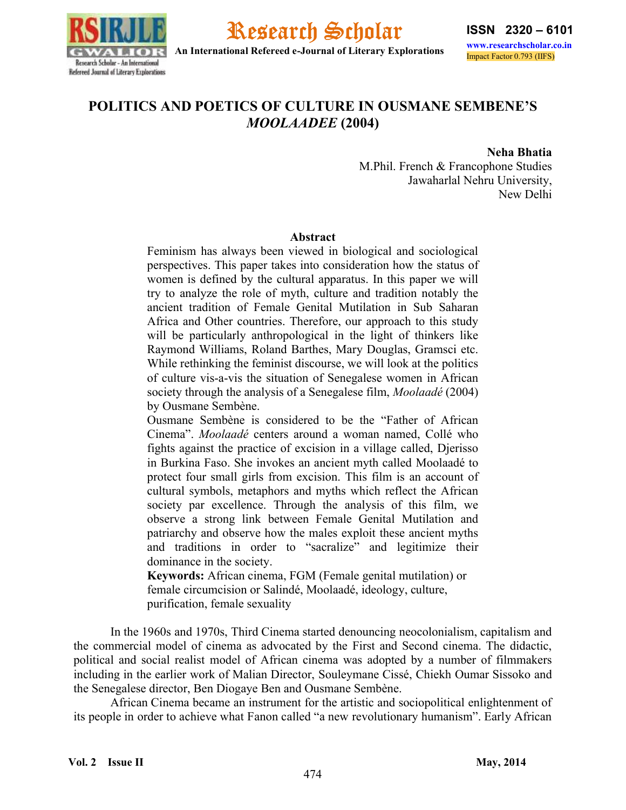

### **POLITICS AND POETICS OF CULTURE IN OUSMANE SEMBENE'S**  *MOOLAADEE* **(2004)**

**Neha Bhatia**

M.Phil. French & Francophone Studies Jawaharlal Nehru University, New Delhi

#### **Abstract**

Feminism has always been viewed in biological and sociological perspectives. This paper takes into consideration how the status of women is defined by the cultural apparatus. In this paper we will try to analyze the role of myth, culture and tradition notably the ancient tradition of Female Genital Mutilation in Sub Saharan Africa and Other countries. Therefore, our approach to this study will be particularly anthropological in the light of thinkers like Raymond Williams, Roland Barthes, Mary Douglas, Gramsci etc. While rethinking the feminist discourse, we will look at the politics of culture vis-a-vis the situation of Senegalese women in African society through the analysis of a Senegalese film, *Moolaadé* (2004) by Ousmane Sembène.

Ousmane Sembène is considered to be the "Father of African Cinema". *Moolaadé* centers around a woman named, Collé who fights against the practice of excision in a village called, Djerisso in Burkina Faso. She invokes an ancient myth called Moolaadé to protect four small girls from excision. This film is an account of cultural symbols, metaphors and myths which reflect the African society par excellence. Through the analysis of this film, we observe a strong link between Female Genital Mutilation and patriarchy and observe how the males exploit these ancient myths and traditions in order to "sacralize" and legitimize their dominance in the society.

**Keywords:** African cinema, FGM (Female genital mutilation) or female circumcision or Salindé, Moolaadé, ideology, culture, purification, female sexuality

In the 1960s and 1970s, Third Cinema started denouncing neocolonialism, capitalism and the commercial model of cinema as advocated by the First and Second cinema. The didactic, political and social realist model of African cinema was adopted by a number of filmmakers including in the earlier work of Malian Director, Souleymane Cissé, Chiekh Oumar Sissoko and the Senegalese director, Ben Diogaye Ben and Ousmane Sembène.

African Cinema became an instrument for the artistic and sociopolitical enlightenment of its people in order to achieve what Fanon called "a new revolutionary humanism". Early African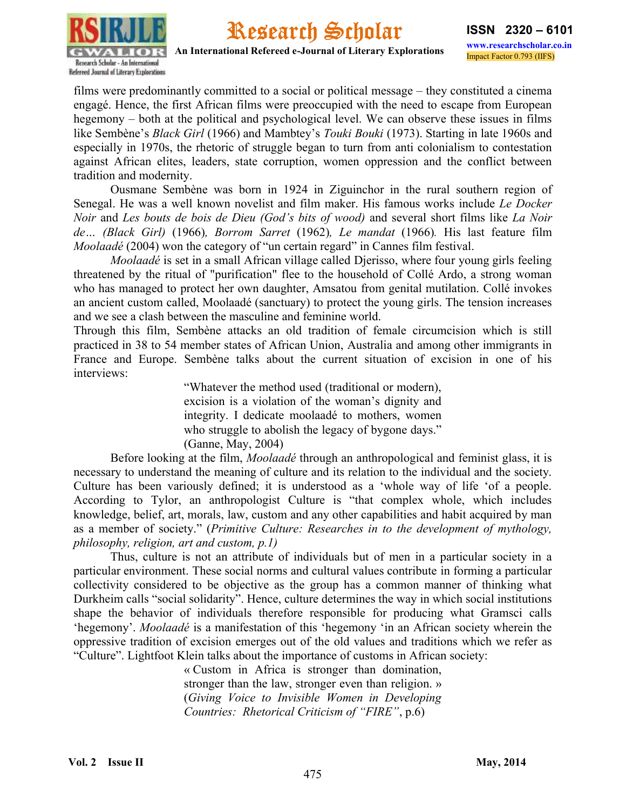



**An International Refereed e-Journal of Literary Explorations**

films were predominantly committed to a social or political message – they constituted a cinema engagé. Hence, the first African films were preoccupied with the need to escape from European hegemony – both at the political and psychological level. We can observe these issues in films like Sembène's *Black Girl* (1966) and Mambtey's *Touki Bouki* (1973). Starting in late 1960s and especially in 1970s, the rhetoric of struggle began to turn from anti colonialism to contestation against African elites, leaders, state corruption, women oppression and the conflict between tradition and modernity.

Ousmane Sembène was born in 1924 in Ziguinchor in the rural southern region of Senegal. He was a well known novelist and film maker. His famous works include *Le Docker Noir* and *Les bouts de bois de Dieu (God's bits of wood)* and several short films like *La Noir de… (Black Girl)* (1966)*, Borrom Sarret* (1962)*, Le mandat* (1966)*.* His last feature film *Moolaadé* (2004) won the category of "un certain regard" in Cannes film festival.

*Moolaadé* is set in a small African village called Djerisso, where four young girls feeling threatened by the ritual of "purification" flee to the household of Collé Ardo, a strong woman who has managed to protect her own daughter, Amsatou from genital mutilation. Collé invokes an ancient custom called, Moolaadé (sanctuary) to protect the young girls. The tension increases and we see a clash between the masculine and feminine world.

Through this film, Sembène attacks an old tradition of female circumcision which is still practiced in 38 to 54 member states of African Union, Australia and among other immigrants in France and Europe. Sembène talks about the current situation of excision in one of his interviews:

> "Whatever the method used (traditional or modern), excision is a violation of the woman's dignity and integrity. I dedicate moolaadé to mothers, women who struggle to abolish the legacy of bygone days." (Ganne, May, 2004)

Before looking at the film, *Moolaadé* through an anthropological and feminist glass, it is necessary to understand the meaning of culture and its relation to the individual and the society. Culture has been variously defined; it is understood as a 'whole way of life 'of a people. According to Tylor, an anthropologist Culture is "that complex whole, which includes knowledge, belief, art, morals, law, custom and any other capabilities and habit acquired by man as a member of society." (*Primitive Culture: Researches in to the development of mythology, philosophy, religion, art and custom, p.1)*

Thus, culture is not an attribute of individuals but of men in a particular society in a particular environment. These social norms and cultural values contribute in forming a particular collectivity considered to be objective as the group has a common manner of thinking what Durkheim calls "social solidarity". Hence, culture determines the way in which social institutions shape the behavior of individuals therefore responsible for producing what Gramsci calls 'hegemony'. *Moolaadé* is a manifestation of this 'hegemony 'in an African society wherein the oppressive tradition of excision emerges out of the old values and traditions which we refer as "Culture". Lightfoot Klein talks about the importance of customs in African society:

> « Custom in Africa is stronger than domination, stronger than the law, stronger even than religion. » (*Giving Voice to Invisible Women in Developing Countries: Rhetorical Criticism of "FIRE"*, p.6)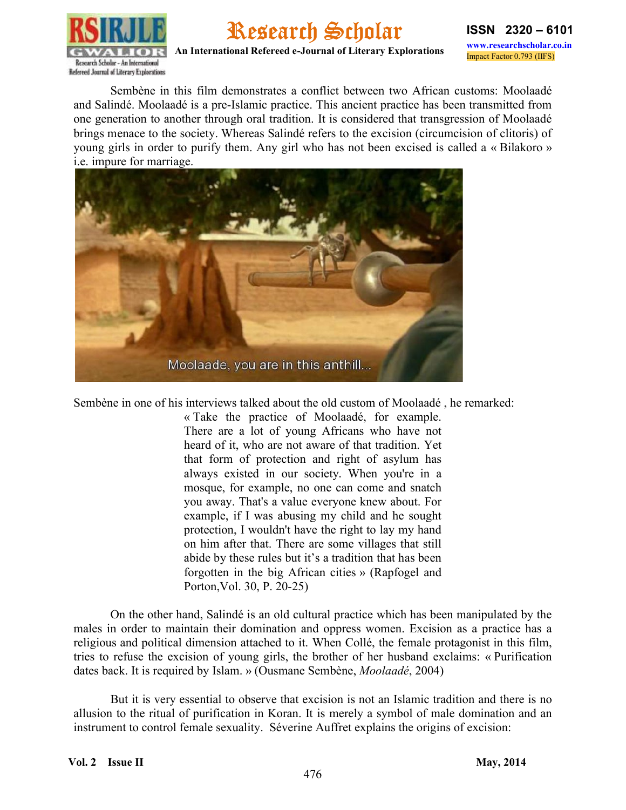

**An International Refereed e-Journal of Literary Explorations**

Sembène in this film demonstrates a conflict between two African customs: Moolaadé and Salindé. Moolaadé is a pre-Islamic practice. This ancient practice has been transmitted from one generation to another through oral tradition. It is considered that transgression of Moolaadé brings menace to the society. Whereas Salindé refers to the excision (circumcision of clitoris) of young girls in order to purify them. Any girl who has not been excised is called a « Bilakoro » i.e. impure for marriage.



Sembène in one of his interviews talked about the old custom of Moolaadé , he remarked:

« Take the practice of Moolaadé, for example. There are a lot of young Africans who have not heard of it, who are not aware of that tradition. Yet that form of protection and right of asylum has always existed in our society. When you're in a mosque, for example, no one can come and snatch you away. That's a value everyone knew about. For example, if I was abusing my child and he sought protection, I wouldn't have the right to lay my hand on him after that. There are some villages that still abide by these rules but it's a tradition that has been forgotten in the big African cities » (Rapfogel and Porton,Vol. 30, P. 20-25)

On the other hand, Salindé is an old cultural practice which has been manipulated by the males in order to maintain their domination and oppress women. Excision as a practice has a religious and political dimension attached to it. When Collé, the female protagonist in this film, tries to refuse the excision of young girls, the brother of her husband exclaims: « Purification dates back. It is required by Islam. » (Ousmane Sembène, *Moolaadé*, 2004)

But it is very essential to observe that excision is not an Islamic tradition and there is no allusion to the ritual of purification in Koran. It is merely a symbol of male domination and an instrument to control female sexuality. Séverine Auffret explains the origins of excision: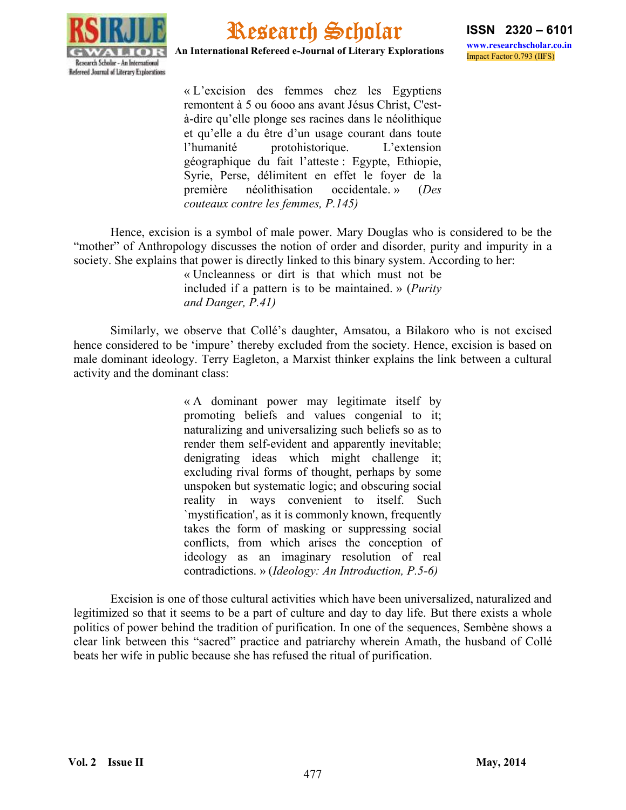

**An International Refereed e-Journal of Literary Explorations**

« L'excision des femmes chez les Egyptiens remontent à 5 ou 6ooo ans avant Jésus Christ, C'està-dire qu'elle plonge ses racines dans le néolithique et qu'elle a du être d'un usage courant dans toute l'humanité protohistorique. L'extension géographique du fait l'atteste : Egypte, Ethiopie, Syrie, Perse, délimitent en effet le foyer de la première néolithisation occidentale. » (*Des couteaux contre les femmes, P.145)*

Hence, excision is a symbol of male power. Mary Douglas who is considered to be the "mother" of Anthropology discusses the notion of order and disorder, purity and impurity in a society. She explains that power is directly linked to this binary system. According to her:

> « Uncleanness or dirt is that which must not be included if a pattern is to be maintained. » (*Purity and Danger, P.41)*

Similarly, we observe that Collé's daughter, Amsatou, a Bilakoro who is not excised hence considered to be 'impure' thereby excluded from the society. Hence, excision is based on male dominant ideology. Terry Eagleton, a Marxist thinker explains the link between a cultural activity and the dominant class:

> « A dominant power may legitimate itself by promoting beliefs and values congenial to it; naturalizing and universalizing such beliefs so as to render them self-evident and apparently inevitable; denigrating ideas which might challenge it; excluding rival forms of thought, perhaps by some unspoken but systematic logic; and obscuring social reality in ways convenient to itself. Such `mystification', as it is commonly known, frequently takes the form of masking or suppressing social conflicts, from which arises the conception of ideology as an imaginary resolution of real contradictions. » (*Ideology: An Introduction, P.5-6)*

Excision is one of those cultural activities which have been universalized, naturalized and legitimized so that it seems to be a part of culture and day to day life. But there exists a whole politics of power behind the tradition of purification. In one of the sequences, Sembène shows a clear link between this "sacred" practice and patriarchy wherein Amath, the husband of Collé beats her wife in public because she has refused the ritual of purification.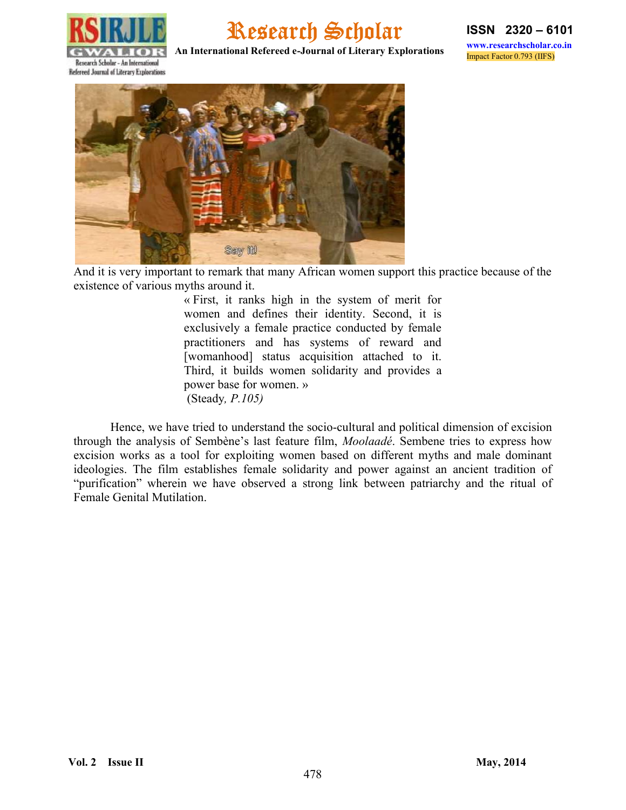

Impact Factor 0.793 (IIFS)

**An International Refereed e-Journal of Literary Explorations**



And it is very important to remark that many African women support this practice because of the existence of various myths around it.

> « First, it ranks high in the system of merit for women and defines their identity. Second, it is exclusively a female practice conducted by female practitioners and has systems of reward and [womanhood] status acquisition attached to it. Third, it builds women solidarity and provides a power base for women. » (Steady*, P.105)*

Hence, we have tried to understand the socio-cultural and political dimension of excision through the analysis of Sembène's last feature film, *Moolaadé*. Sembene tries to express how excision works as a tool for exploiting women based on different myths and male dominant ideologies. The film establishes female solidarity and power against an ancient tradition of "purification" wherein we have observed a strong link between patriarchy and the ritual of Female Genital Mutilation.